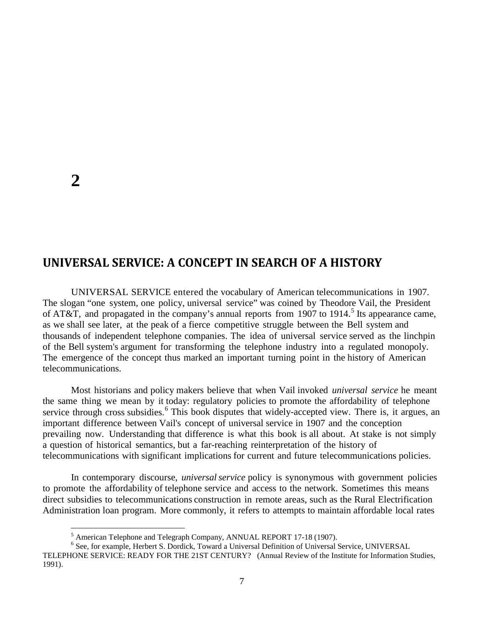## **UNIVERSAL SERVICE: A CONCEPT IN SEARCH OF A HISTORY**

UNIVERSAL SERVICE entered the vocabulary of American telecommunications in 1907. The slogan "one system, one policy, universal service" was coined by Theodore Vail, the President of AT&T, and propagated in the company's annual reports from 1907 to 1914.<sup>[5](#page-0-0)</sup> Its appearance came, as we shall see later, at the peak of a fierce competitive struggle between the Bell system and thousands of independent telephone companies. The idea of universal service served as the linchpin of the Bell system's argument for transforming the telephone industry into a regulated monopoly. The emergence of the concept thus marked an important turning point in the history of American telecommunications.

Most historians and policy makers believe that when Vail invoked *universal service* he meant the same thing we mean by it today: regulatory policies to promote the affordability of telephone service through cross subsidies.<sup>[6](#page-0-1)</sup> This book disputes that widely-accepted view. There is, it argues, an important difference between Vail's concept of universal service in 1907 and the conception prevailing now. Understanding that difference is what this book is all about. At stake is not simply a question of historical semantics, but a far-reaching reinterpretation of the history of telecommunications with significant implications for current and future telecommunications policies.

In contemporary discourse, *universal service* policy is synonymous with government policies to promote the affordability of telephone service and access to the network. Sometimes this means direct subsidies to telecommunications construction in remote areas, such as the Rural Electrification Administration loan program. More commonly, it refers to attempts to maintain affordable local rates

<span id="page-0-1"></span><span id="page-0-0"></span><sup>&</sup>lt;sup>5</sup> American Telephone and Telegraph Company, ANNUAL REPORT 17-18 (1907).<br><sup>6</sup> See, for example, Herbert S. Dordick, Toward a Universal Definition of Universal Service, UNIVERSAL TELEPHONE SERVICE: READY FOR THE 21ST CENTURY? (Annual Review of the Institute for Information Studies, 1991).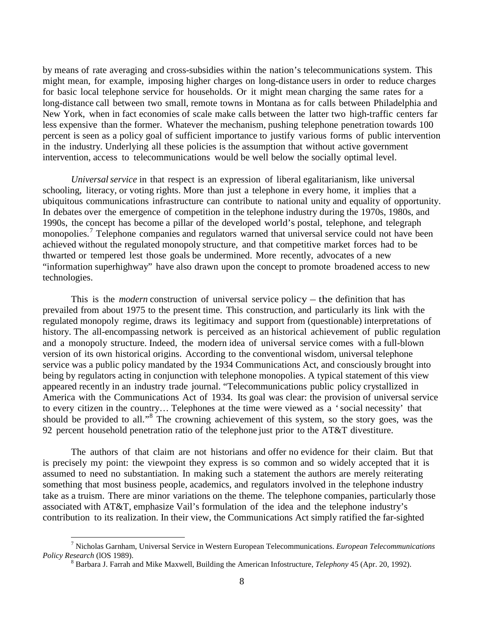by means of rate averaging and cross-subsidies within the nation's telecommunications system. This might mean, for example, imposing higher charges on long-distance users in order to reduce charges for basic local telephone service for households. Or it might mean charging the same rates for a long-distance call between two small, remote towns in Montana as for calls between Philadelphia and New York, when in fact economies of scale make calls between the latter two high-traffic centers far less expensive than the former. Whatever the mechanism, pushing telephone penetration towards 100 percent is seen as a policy goal of sufficient importance to justify various forms of public intervention in the industry. Underlying all these policies is the assumption that without active government intervention, access to telecommunications would be well below the socially optimal level.

*Universalservice* in that respect is an expression of liberal egalitarianism, like universal schooling, literacy, or voting rights. More than just a telephone in every home, it implies that a ubiquitous communications infrastructure can contribute to national unity and equality of opportunity. In debates over the emergence of competition in the telephone industry during the 1970s, 1980s, and 1990s, the concept has become a pillar of the developed world's postal, telephone, and telegraph monopolies.<sup>[7](#page-1-0)</sup> Telephone companies and regulators warned that universal service could not have been achieved without the regulated monopoly structure, and that competitive market forces had to be thwarted or tempered lest those goals be undermined. More recently, advocates of a new "information superhighway" have also drawn upon the concept to promote broadened access to new technologies.

This is the *modern* construction of universal service policy – the definition that has prevailed from about 1975 to the present time. This construction, and particularly its link with the regulated monopoly regime, draws its legitimacy and support from (questionable) interpretations of history. The all-encompassing network is perceived as an historical achievement of public regulation and a monopoly structure. Indeed, the modern idea of universal service comes with a full-blown version of its own historical origins. According to the conventional wisdom, universal telephone service was a public policy mandated by the 1934 Communications Act, and consciously brought into being by regulators acting in conjunction with telephone monopolies. A typical statement of this view appeared recently in an industry trade journal. "Telecommunications public policy crystallized in America with the Communications Act of 1934. Its goal was clear: the provision of universal service to every citizen in the country… Telephones at the time were viewed as a 'social necessity' that should be provided to all."[8](#page-1-1) The crowning achievement of this system, so the story goes, was the 92 percent household penetration ratio of the telephone just prior to the AT&T divestiture.

The authors of that claim are not historians and offer no evidence for their claim. But that is precisely my point: the viewpoint they express is so common and so widely accepted that it is assumed to need no substantiation. In making such a statement the authors are merely reiterating something that most business people, academics, and regulators involved in the telephone industry take as a truism. There are minor variations on the theme. The telephone companies, particularly those associated with AT&T, emphasize Vail's formulation of the idea and the telephone industry's contribution to its realization. In their view, the Communications Act simply ratified the far-sighted

<span id="page-1-1"></span><span id="page-1-0"></span> <sup>7</sup> Nicholas Garnham, Universal Service in Western European Telecommunications. *European Telecommunications* 

<sup>&</sup>lt;sup>8</sup> Barbara J. Farrah and Mike Maxwell, Building the American Infostructure, *Telephony* 45 (Apr. 20, 1992).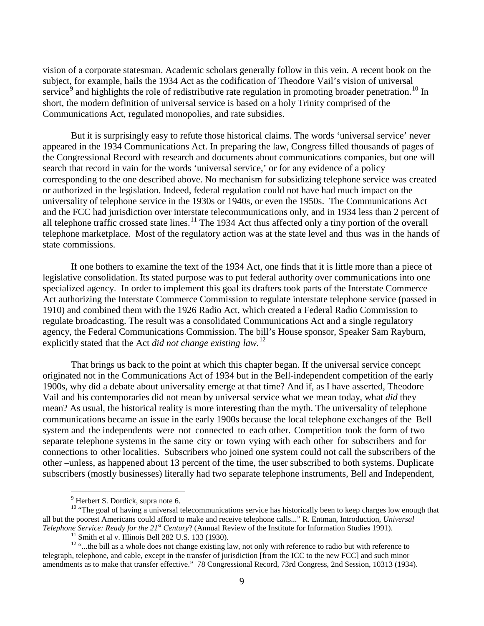vision of a corporate statesman. Academic scholars generally follow in this vein. A recent book on the subject, for example, hails the 1934 Act as the codification of Theodore Vail's vision of universal service<sup>[9](#page-2-0)</sup> and highlights the role of redistributive rate regulation in promoting broader penetration.<sup>[10](#page-2-1)</sup> In short, the modern definition of universal service is based on a holy Trinity comprised of the Communications Act, regulated monopolies, and rate subsidies.

But it is surprisingly easy to refute those historical claims. The words 'universal service' never appeared in the 1934 Communications Act. In preparing the law, Congress filled thousands of pages of the Congressional Record with research and documents about communications companies, but one will search that record in vain for the words 'universal service,' or for any evidence of a policy corresponding to the one described above. No mechanism for subsidizing telephone service was created or authorized in the legislation. Indeed, federal regulation could not have had much impact on the universality of telephone service in the 1930s or 1940s, or even the 1950s. The Communications Act and the FCC had jurisdiction over interstate telecommunications only, and in 1934 less than 2 percent of all telephone traffic crossed state lines.<sup>[11](#page-2-2)</sup> The 1934 Act thus affected only a tiny portion of the overall telephone marketplace. Most of the regulatory action was at the state level and thus was in the hands of state commissions.

If one bothers to examine the text of the 1934 Act, one finds that it is little more than a piece of legislative consolidation. Its stated purpose was to put federal authority over communications into one specialized agency. In order to implement this goal its drafters took parts of the Interstate Commerce Act authorizing the Interstate Commerce Commission to regulate interstate telephone service (passed in 1910) and combined them with the 1926 Radio Act, which created a Federal Radio Commission to regulate broadcasting. The result was a consolidated Communications Act and a single regulatory agency, the Federal Communications Commission. The bill's House sponsor, Speaker Sam Rayburn, explicitly stated that the Act *did not change existing law.* [12](#page-2-3)

That brings us back to the point at which this chapter began. If the universal service concept originated not in the Communications Act of 1934 but in the Bell-independent competition of the early 1900s, why did a debate about universality emerge at that time? And if, as I have asserted, Theodore Vail and his contemporaries did not mean by universal service what we mean today, what *did* they mean? As usual, the historical reality is more interesting than the myth. The universality of telephone communications became an issue in the early 1900s because the local telephone exchanges of the Bell system and the independents were not connected to each other. Competition took the form of two separate telephone systems in the same city or town vying with each other for subscribers and for connections to other localities. Subscribers who joined one system could not call the subscribers of the other –unless, as happened about 13 percent of the time, the user subscribed to both systems. Duplicate subscribers (mostly businesses) literally had two separate telephone instruments, Bell and Independent,

<span id="page-2-1"></span><span id="page-2-0"></span><sup>&</sup>lt;sup>9</sup> Herbert S. Dordick, supra note 6.<br><sup>10</sup> "The goal of having a universal telecommunications service has historically been to keep charges low enough that all but the poorest Americans could afford to make and receive telephone calls..." R. Entman, Introduction, *Universal Telephone Service: Ready for the 21<sup>st</sup> Century*? (Annual Review of the Institute for Information Studi

<span id="page-2-3"></span><span id="page-2-2"></span><sup>&</sup>lt;sup>11</sup> Smith et al v. Illinois Bell 282 U.S. 133 (1930).<br><sup>12</sup> "...the bill as a whole does not change existing law, not only with reference to radio but with reference to telegraph, telephone, and cable, except in the transfer of jurisdiction [from the ICC to the new FCC] and such minor amendments as to make that transfer effective." 78 Congressional Record, 73rd Congress, 2nd Session, 10313 (1934).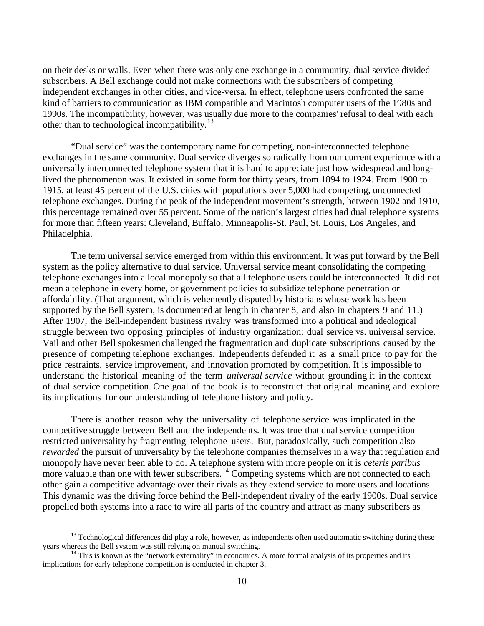on their desks or walls. Even when there was only one exchange in a community, dual service divided subscribers. A Bell exchange could not make connections with the subscribers of competing independent exchanges in other cities, and vice-versa. In effect, telephone users confronted the same kind of barriers to communication as IBM compatible and Macintosh computer users of the 1980s and 1990s. The incompatibility, however, was usually due more to the companies' refusal to deal with each other than to technological incompatibility.<sup>[13](#page-3-0)</sup>

"Dual service" was the contemporary name for competing, non-interconnected telephone exchanges in the same community. Dual service diverges so radically from our current experience with a universally interconnected telephone system that it is hard to appreciate just how widespread and longlived the phenomenon was. It existed in some form for thirty years, from 1894 to 1924. From 1900 to 1915, at least 45 percent of the U.S. cities with populations over 5,000 had competing, unconnected telephone exchanges. During the peak of the independent movement's strength, between 1902 and 1910, this percentage remained over 55 percent. Some of the nation's largest cities had dual telephone systems for more than fifteen years: Cleveland, Buffalo, Minneapolis-St. Paul, St. Louis, Los Angeles, and Philadelphia.

The term universal service emerged from within this environment. It was put forward by the Bell system as the policy alternative to dual service. Universal service meant consolidating the competing telephone exchanges into a local monopoly so that all telephone users could be interconnected. It did not mean a telephone in every home, or government policies to subsidize telephone penetration or affordability. (That argument, which is vehemently disputed by historians whose work has been supported by the Bell system, is documented at length in chapter 8, and also in chapters 9 and 11.) After 1907, the Bell-independent business rivalry was transformed into a political and ideological struggle between two opposing principles of industry organization: dual service vs. universal service. Vail and other Bell spokesmen challenged the fragmentation and duplicate subscriptions caused by the presence of competing telephone exchanges. Independents defended it as a small price to pay for the price restraints, service improvement, and innovation promoted by competition. It is impossible to understand the historical meaning of the term *universal service* without grounding it in the context of dual service competition. One goal of the book is to reconstruct that original meaning and explore its implications for our understanding of telephone history and policy.

There is another reason why the universality of telephone service was implicated in the competitive struggle between Bell and the independents. It was true that dual service competition restricted universality by fragmenting telephone users. But, paradoxically, such competition also *rewarded* the pursuit of universality by the telephone companies themselves in a way that regulation and monopoly have never been able to do. A telephone system with more people on it is *ceteris paribus* more valuable than one with fewer subscribers.<sup>[14](#page-3-1)</sup> Competing systems which are not connected to each other gain a competitive advantage over their rivals as they extend service to more users and locations. This dynamic was the driving force behind the Bell-independent rivalry of the early 1900s. Dual service propelled both systems into a race to wire all parts of the country and attract as many subscribers as

<span id="page-3-0"></span> $13$  Technological differences did play a role, however, as independents often used automatic switching during these years whereas the Bell system was still relying on manual switching.

<span id="page-3-1"></span> $14$  This is known as the "network externality" in economics. A more formal analysis of its properties and its implications for early telephone competition is conducted in chapter 3.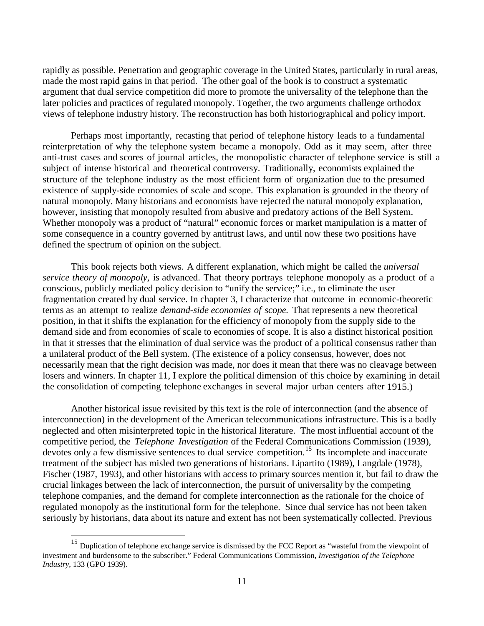rapidly as possible. Penetration and geographic coverage in the United States, particularly in rural areas, made the most rapid gains in that period. The other goal of the book is to construct a systematic argument that dual service competition did more to promote the universality of the telephone than the later policies and practices of regulated monopoly. Together, the two arguments challenge orthodox views of telephone industry history. The reconstruction has both historiographical and policy import.

Perhaps most importantly, recasting that period of telephone history leads to a fundamental reinterpretation of why the telephone system became a monopoly. Odd as it may seem, after three anti-trust cases and scores of journal articles, the monopolistic character of telephone service is still a subject of intense historical and theoretical controversy. Traditionally, economists explained the structure of the telephone industry as the most efficient form of organization due to the presumed existence of supply-side economies of scale and scope. This explanation is grounded in the theory of natural monopoly. Many historians and economists have rejected the natural monopoly explanation, however, insisting that monopoly resulted from abusive and predatory actions of the Bell System. Whether monopoly was a product of "natural" economic forces or market manipulation is a matter of some consequence in a country governed by antitrust laws, and until now these two positions have defined the spectrum of opinion on the subject.

This book rejects both views. A different explanation, which might be called the *universal service theory of monopoly,* is advanced. That theory portrays telephone monopoly as a product of a conscious, publicly mediated policy decision to "unify the service;" i.e., to eliminate the user fragmentation created by dual service. In chapter 3, I characterize that outcome in economic-theoretic terms as an attempt to realize *demand-side economies of scope.* That represents a new theoretical position, in that it shifts the explanation for the efficiency of monopoly from the supply side to the demand side and from economies of scale to economies of scope. It is also a distinct historical position in that it stresses that the elimination of dual service was the product of a political consensus rather than a unilateral product of the Bell system. (The existence of a policy consensus, however, does not necessarily mean that the right decision was made, nor does it mean that there was no cleavage between losers and winners. In chapter 11, I explore the political dimension of this choice by examining in detail the consolidation of competing telephone exchanges in several major urban centers after 1915.)

Another historical issue revisited by this text is the role of interconnection (and the absence of interconnection) in the development of the American telecommunications infrastructure. This is a badly neglected and often misinterpreted topic in the historical literature. The most influential account of the competitive period, the *Telephone Investigation* of the Federal Communications Commission (1939), devotes only a few dismissive sentences to dual service competition.<sup>[15](#page-4-0)</sup> Its incomplete and inaccurate treatment of the subject has misled two generations of historians. Lipartito (1989), Langdale (1978), Fischer (1987, 1993), and other historians with access to primary sources mention it, but fail to draw the crucial linkages between the lack of interconnection, the pursuit of universality by the competing telephone companies, and the demand for complete interconnection as the rationale for the choice of regulated monopoly as the institutional form for the telephone. Since dual service has not been taken seriously by historians, data about its nature and extent has not been systematically collected. Previous

<span id="page-4-0"></span><sup>&</sup>lt;sup>15</sup> Duplication of telephone exchange service is dismissed by the FCC Report as "wasteful from the viewpoint of investment and burdensome to the subscriber." Federal Communications Commission, *Investigation of the Telephone Industry*, 133 (GPO 1939).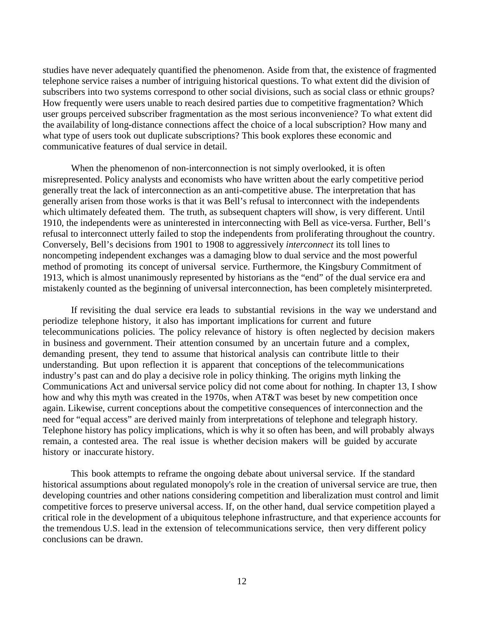studies have never adequately quantified the phenomenon. Aside from that, the existence of fragmented telephone service raises a number of intriguing historical questions. To what extent did the division of subscribers into two systems correspond to other social divisions, such as social class or ethnic groups? How frequently were users unable to reach desired parties due to competitive fragmentation? Which user groups perceived subscriber fragmentation as the most serious inconvenience? To what extent did the availability of long-distance connections affect the choice of a local subscription? How many and what type of users took out duplicate subscriptions? This book explores these economic and communicative features of dual service in detail.

When the phenomenon of non-interconnection is not simply overlooked, it is often misrepresented. Policy analysts and economists who have written about the early competitive period generally treat the lack of interconnection as an anti-competitive abuse. The interpretation that has generally arisen from those works is that it was Bell's refusal to interconnect with the independents which ultimately defeated them. The truth, as subsequent chapters will show, is very different. Until 1910, the independents were as uninterested in interconnecting with Bell as vice-versa. Further, Bell's refusal to interconnect utterly failed to stop the independents from proliferating throughout the country. Conversely, Bell's decisions from 1901 to 1908 to aggressively *interconnect* its toll lines to noncompeting independent exchanges was a damaging blow to dual service and the most powerful method of promoting its concept of universal service. Furthermore, the Kingsbury Commitment of 1913, which is almost unanimously represented by historians as the "end" of the dual service era and mistakenly counted as the beginning of universal interconnection, has been completely misinterpreted.

If revisiting the dual service era leads to substantial revisions in the way we understand and periodize telephone history, it also has important implications for current and future telecommunications policies. The policy relevance of history is often neglected by decision makers in business and government. Their attention consumed by an uncertain future and a complex, demanding present, they tend to assume that historical analysis can contribute little to their understanding. But upon reflection it is apparent that conceptions of the telecommunications industry's past can and do play a decisive role in policy thinking. The origins myth linking the Communications Act and universal service policy did not come about for nothing. In chapter 13, I show how and why this myth was created in the 1970s, when AT&T was beset by new competition once again. Likewise, current conceptions about the competitive consequences of interconnection and the need for "equal access" are derived mainly from interpretations of telephone and telegraph history. Telephone history has policy implications, which is why it so often has been, and will probably always remain, a contested area. The real issue is whether decision makers will be guided by accurate history or inaccurate history.

This book attempts to reframe the ongoing debate about universal service. If the standard historical assumptions about regulated monopoly's role in the creation of universal service are true, then developing countries and other nations considering competition and liberalization must control and limit competitive forces to preserve universal access. If, on the other hand, dual service competition played a critical role in the development of a ubiquitous telephone infrastructure, and that experience accounts for the tremendous U.S. lead in the extension of telecommunications service, then very different policy conclusions can be drawn.